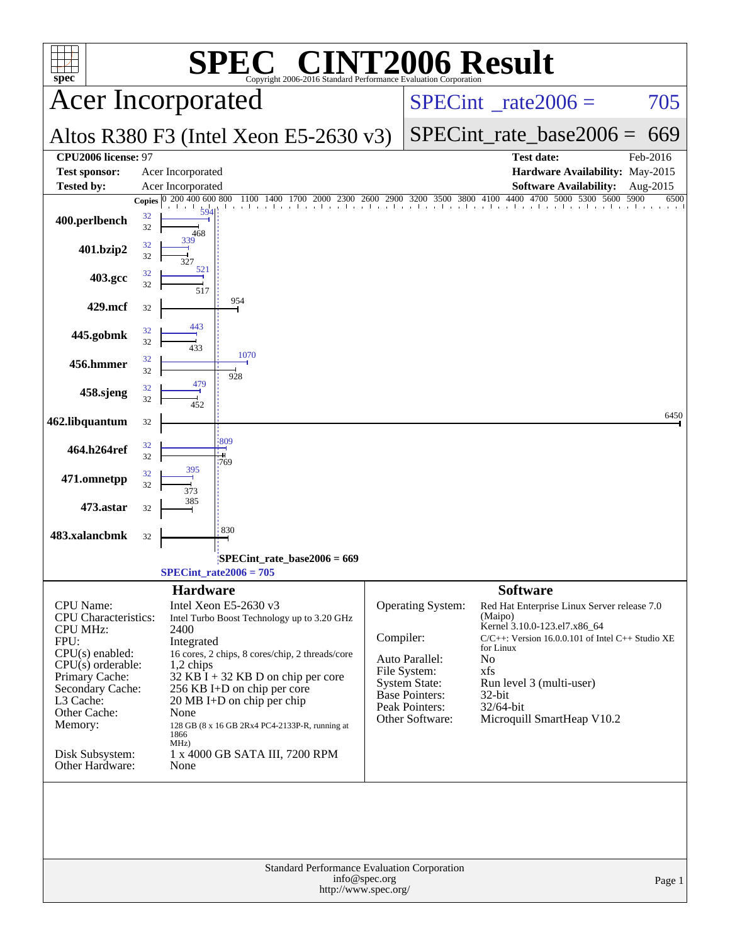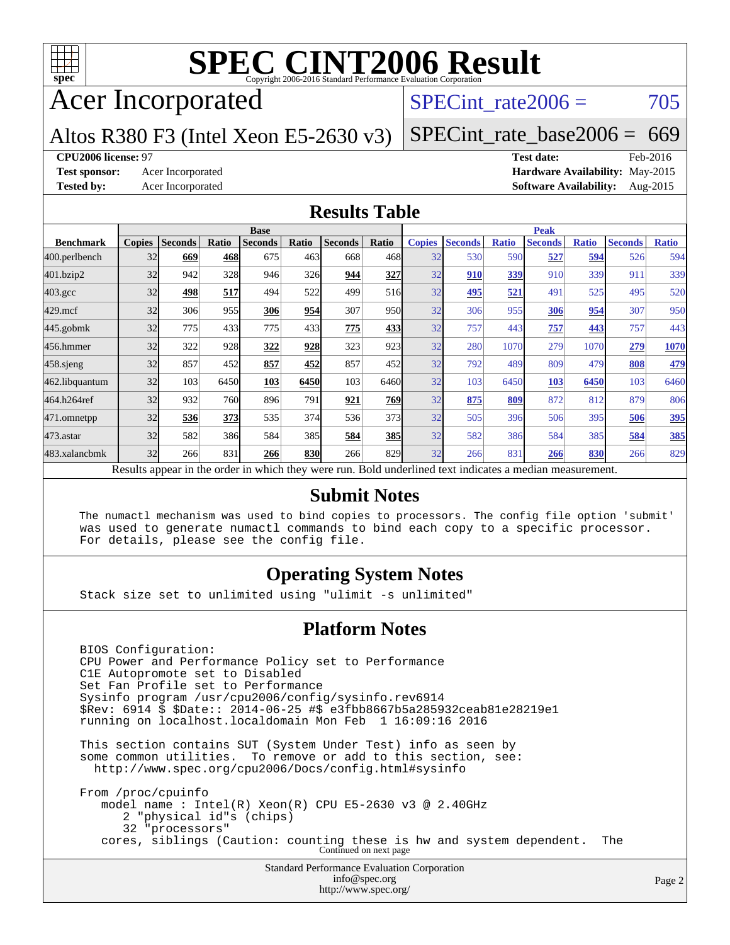

### Acer Incorporated

### SPECint rate $2006 = 705$

### Altos R380 F3 (Intel Xeon E5-2630 v3)

[SPECint\\_rate\\_base2006 =](http://www.spec.org/auto/cpu2006/Docs/result-fields.html#SPECintratebase2006) 669

**[CPU2006 license:](http://www.spec.org/auto/cpu2006/Docs/result-fields.html#CPU2006license)** 97 **[Test date:](http://www.spec.org/auto/cpu2006/Docs/result-fields.html#Testdate)** Feb-2016 **[Test sponsor:](http://www.spec.org/auto/cpu2006/Docs/result-fields.html#Testsponsor)** Acer Incorporated **[Hardware Availability:](http://www.spec.org/auto/cpu2006/Docs/result-fields.html#HardwareAvailability)** May-2015 **[Tested by:](http://www.spec.org/auto/cpu2006/Docs/result-fields.html#Testedby)** Acer Incorporated **[Software Availability:](http://www.spec.org/auto/cpu2006/Docs/result-fields.html#SoftwareAvailability)** Aug-2015

### **[Results Table](http://www.spec.org/auto/cpu2006/Docs/result-fields.html#ResultsTable)**

|                    |               | <b>Base</b>    |              |                                                                                                          |            |                | <b>Peak</b> |               |                |              |                |              |                |              |
|--------------------|---------------|----------------|--------------|----------------------------------------------------------------------------------------------------------|------------|----------------|-------------|---------------|----------------|--------------|----------------|--------------|----------------|--------------|
| <b>Benchmark</b>   | <b>Copies</b> | <b>Seconds</b> | <b>Ratio</b> | <b>Seconds</b>                                                                                           | Ratio      | <b>Seconds</b> | Ratio       | <b>Copies</b> | <b>Seconds</b> | <b>Ratio</b> | <b>Seconds</b> | <b>Ratio</b> | <b>Seconds</b> | <b>Ratio</b> |
| 400.perlbench      | 32            | 669            | 468          | 675                                                                                                      | 463        | 668            | 468I        | 32            | 530            | 590          | 527            | 594          | 526            | 594          |
| 401.bzip2          | 32            | 942            | 328          | 946                                                                                                      | <b>326</b> | 944            | 327         | 32            | 910            | 339          | 910            | 339          | 911            | 339          |
| $403.\mathrm{gcc}$ | 32            | 498            | 517          | 494                                                                                                      | 522        | 499            | 516         | 32            | 495            | 521          | 491            | 525          | 495            | 520          |
| $429$ .mcf         | 32            | 306            | 955          | 306                                                                                                      | 954        | 307            | 950         | 32            | 306            | 955          | 306            | 954          | 307            | 950          |
| $445$ .gobmk       | 32            | 775            | 433          | 775                                                                                                      | 433        | 775            | 433         | 32            | 757            | 443          | 757            | 443          | 757            | 443          |
| 456.hmmer          | 32            | 322            | 928          | 322                                                                                                      | 928        | 323            | 923         | 32            | 280            | 1070         | 279            | 1070         | 279            | 1070         |
| 458 sjeng          | 32            | 857            | 452          | 857                                                                                                      | 452        | 857            | 452l        | 32            | 792            | 489          | 809            | 479          | 808            | 479          |
| 462.libquantum     | 32            | 103            | 6450         | 103                                                                                                      | 6450       | 103            | 6460        | 32            | 103            | 6450         | 103            | 6450         | 103            | 6460         |
| 464.h264ref        | 32            | 932            | 760          | 896                                                                                                      | 791        | 921            | 769         | 32            | 875            | 809          | 872            | 812          | 879            | 806          |
| 471.omnetpp        | 32            | 536            | 373          | 535                                                                                                      | 374        | 536            | 373         | 32            | 505            | 396          | 506            | 395          | 506            | 395          |
| $473$ . astar      | 32            | 582            | 386          | 584                                                                                                      | 385        | 584            | <b>385</b>  | 32            | 582            | 386          | 584            | 385          | 584            | 385          |
| 483.xalancbmk      | 32            | 266            | 831          | 266                                                                                                      | 830        | 266            | 829         | 32            | 266            | 831          | 266            | 830          | 266            | 829          |
|                    |               |                |              | Results appear in the order in which they were run. Bold underlined text indicates a median measurement. |            |                |             |               |                |              |                |              |                |              |

### **[Submit Notes](http://www.spec.org/auto/cpu2006/Docs/result-fields.html#SubmitNotes)**

 The numactl mechanism was used to bind copies to processors. The config file option 'submit' was used to generate numactl commands to bind each copy to a specific processor. For details, please see the config file.

### **[Operating System Notes](http://www.spec.org/auto/cpu2006/Docs/result-fields.html#OperatingSystemNotes)**

Stack size set to unlimited using "ulimit -s unlimited"

### **[Platform Notes](http://www.spec.org/auto/cpu2006/Docs/result-fields.html#PlatformNotes)**

Standard Performance Evaluation Corporation [info@spec.org](mailto:info@spec.org) BIOS Configuration: CPU Power and Performance Policy set to Performance C1E Autopromote set to Disabled Set Fan Profile set to Performance Sysinfo program /usr/cpu2006/config/sysinfo.rev6914 \$Rev: 6914 \$ \$Date:: 2014-06-25 #\$ e3fbb8667b5a285932ceab81e28219e1 running on localhost.localdomain Mon Feb 1 16:09:16 2016 This section contains SUT (System Under Test) info as seen by some common utilities. To remove or add to this section, see: <http://www.spec.org/cpu2006/Docs/config.html#sysinfo> From /proc/cpuinfo model name : Intel(R) Xeon(R) CPU E5-2630 v3 @ 2.40GHz 2 "physical id"s (chips) 32 "processors" cores, siblings (Caution: counting these is hw and system dependent. The Continued on next page

<http://www.spec.org/>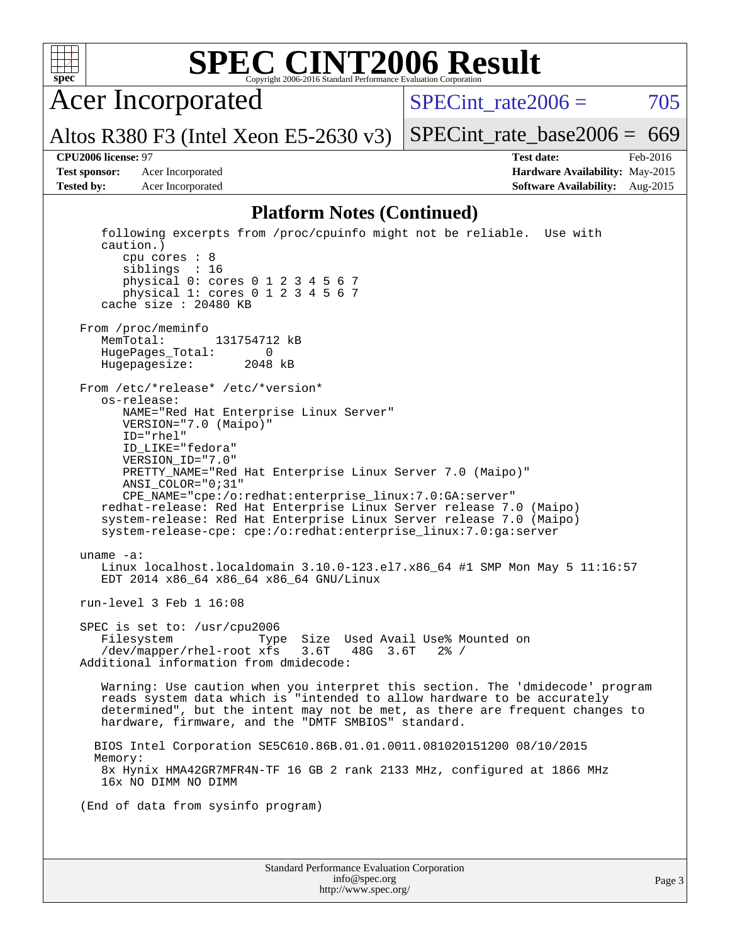

Acer Incorporated

Altos R380 F3 (Intel Xeon E5-2630 v3)

SPECint rate $2006 = 705$ 

[SPECint\\_rate\\_base2006 =](http://www.spec.org/auto/cpu2006/Docs/result-fields.html#SPECintratebase2006)  $669$ 

**[CPU2006 license:](http://www.spec.org/auto/cpu2006/Docs/result-fields.html#CPU2006license)** 97 **[Test date:](http://www.spec.org/auto/cpu2006/Docs/result-fields.html#Testdate)** Feb-2016 **[Test sponsor:](http://www.spec.org/auto/cpu2006/Docs/result-fields.html#Testsponsor)** Acer Incorporated **[Hardware Availability:](http://www.spec.org/auto/cpu2006/Docs/result-fields.html#HardwareAvailability)** May-2015 **[Tested by:](http://www.spec.org/auto/cpu2006/Docs/result-fields.html#Testedby)** Acer Incorporated **[Software Availability:](http://www.spec.org/auto/cpu2006/Docs/result-fields.html#SoftwareAvailability)** Aug-2015

#### **[Platform Notes \(Continued\)](http://www.spec.org/auto/cpu2006/Docs/result-fields.html#PlatformNotes)**

```
Standard Performance Evaluation Corporation
                                   info@spec.org
                                                                                  Page 3
   following excerpts from /proc/cpuinfo might not be reliable. Use with
   caution.)
      cpu cores : 8
      siblings : 16
      physical 0: cores 0 1 2 3 4 5 6 7
      physical 1: cores 0 1 2 3 4 5 6 7
   cache size : 20480 KB
From /proc/meminfo
  MemTotal: 131754712 kB
   HugePages_Total: 0
  Hugepagesize: 2048 kB
From /etc/*release* /etc/*version*
   os-release:
      NAME="Red Hat Enterprise Linux Server"
      VERSION="7.0 (Maipo)"
      ID="rhel"
      ID_LIKE="fedora"
      VERSION_ID="7.0"
      PRETTY_NAME="Red Hat Enterprise Linux Server 7.0 (Maipo)"
      ANSI_COLOR="0;31"
      CPE_NAME="cpe:/o:redhat:enterprise_linux:7.0:GA:server"
  redhat-release: Red Hat Enterprise Linux Server release 7.0 (Maipo)
   system-release: Red Hat Enterprise Linux Server release 7.0 (Maipo)
   system-release-cpe: cpe:/o:redhat:enterprise_linux:7.0:ga:server
uname -a:
  Linux localhost.localdomain 3.10.0-123.el7.x86_64 #1 SMP Mon May 5 11:16:57
   EDT 2014 x86_64 x86_64 x86_64 GNU/Linux
run-level 3 Feb 1 16:08
SPEC is set to: /usr/cpu2006
  Filesystem Type Size Used Avail Use% Mounted on
   /dev/mapper/rhel-root xfs 3.6T 48G 3.6T 2% /
Additional information from dmidecode:
   Warning: Use caution when you interpret this section. The 'dmidecode' program
   reads system data which is "intended to allow hardware to be accurately
   determined", but the intent may not be met, as there are frequent changes to
  hardware, firmware, and the "DMTF SMBIOS" standard.
  BIOS Intel Corporation SE5C610.86B.01.01.0011.081020151200 08/10/2015
  Memory:
   8x Hynix HMA42GR7MFR4N-TF 16 GB 2 rank 2133 MHz, configured at 1866 MHz
   16x NO DIMM NO DIMM
(End of data from sysinfo program)
```
<http://www.spec.org/>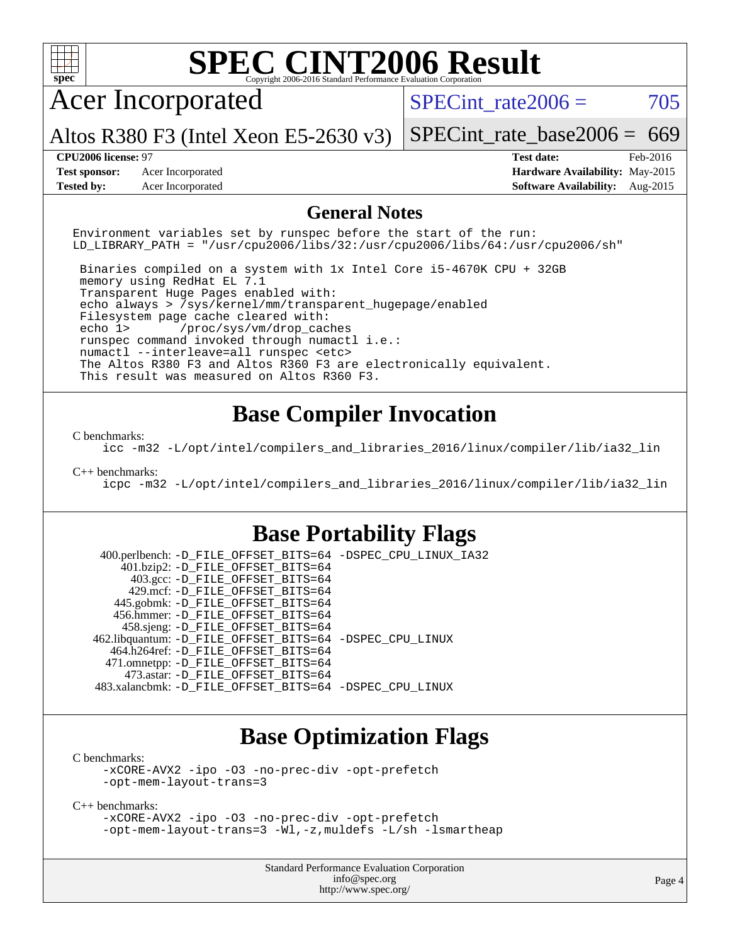

```
C benchmarks:
```
[-xCORE-AVX2](http://www.spec.org/cpu2006/results/res2016q1/cpu2006-20160216-39025.flags.html#user_CCbase_f-xAVX2_5f5fc0cbe2c9f62c816d3e45806c70d7) [-ipo](http://www.spec.org/cpu2006/results/res2016q1/cpu2006-20160216-39025.flags.html#user_CCbase_f-ipo) [-O3](http://www.spec.org/cpu2006/results/res2016q1/cpu2006-20160216-39025.flags.html#user_CCbase_f-O3) [-no-prec-div](http://www.spec.org/cpu2006/results/res2016q1/cpu2006-20160216-39025.flags.html#user_CCbase_f-no-prec-div) [-opt-prefetch](http://www.spec.org/cpu2006/results/res2016q1/cpu2006-20160216-39025.flags.html#user_CCbase_f-opt-prefetch) [-opt-mem-layout-trans=3](http://www.spec.org/cpu2006/results/res2016q1/cpu2006-20160216-39025.flags.html#user_CCbase_f-opt-mem-layout-trans_a7b82ad4bd7abf52556d4961a2ae94d5)

[C++ benchmarks:](http://www.spec.org/auto/cpu2006/Docs/result-fields.html#CXXbenchmarks)

[-xCORE-AVX2](http://www.spec.org/cpu2006/results/res2016q1/cpu2006-20160216-39025.flags.html#user_CXXbase_f-xAVX2_5f5fc0cbe2c9f62c816d3e45806c70d7) [-ipo](http://www.spec.org/cpu2006/results/res2016q1/cpu2006-20160216-39025.flags.html#user_CXXbase_f-ipo) [-O3](http://www.spec.org/cpu2006/results/res2016q1/cpu2006-20160216-39025.flags.html#user_CXXbase_f-O3) [-no-prec-div](http://www.spec.org/cpu2006/results/res2016q1/cpu2006-20160216-39025.flags.html#user_CXXbase_f-no-prec-div) [-opt-prefetch](http://www.spec.org/cpu2006/results/res2016q1/cpu2006-20160216-39025.flags.html#user_CXXbase_f-opt-prefetch) [-opt-mem-layout-trans=3](http://www.spec.org/cpu2006/results/res2016q1/cpu2006-20160216-39025.flags.html#user_CXXbase_f-opt-mem-layout-trans_a7b82ad4bd7abf52556d4961a2ae94d5) [-Wl,-z,muldefs](http://www.spec.org/cpu2006/results/res2016q1/cpu2006-20160216-39025.flags.html#user_CXXbase_link_force_multiple1_74079c344b956b9658436fd1b6dd3a8a) [-L/sh -lsmartheap](http://www.spec.org/cpu2006/results/res2016q1/cpu2006-20160216-39025.flags.html#user_CXXbase_SmartHeap_32f6c82aa1ed9c52345d30cf6e4a0499)

> Standard Performance Evaluation Corporation [info@spec.org](mailto:info@spec.org) <http://www.spec.org/>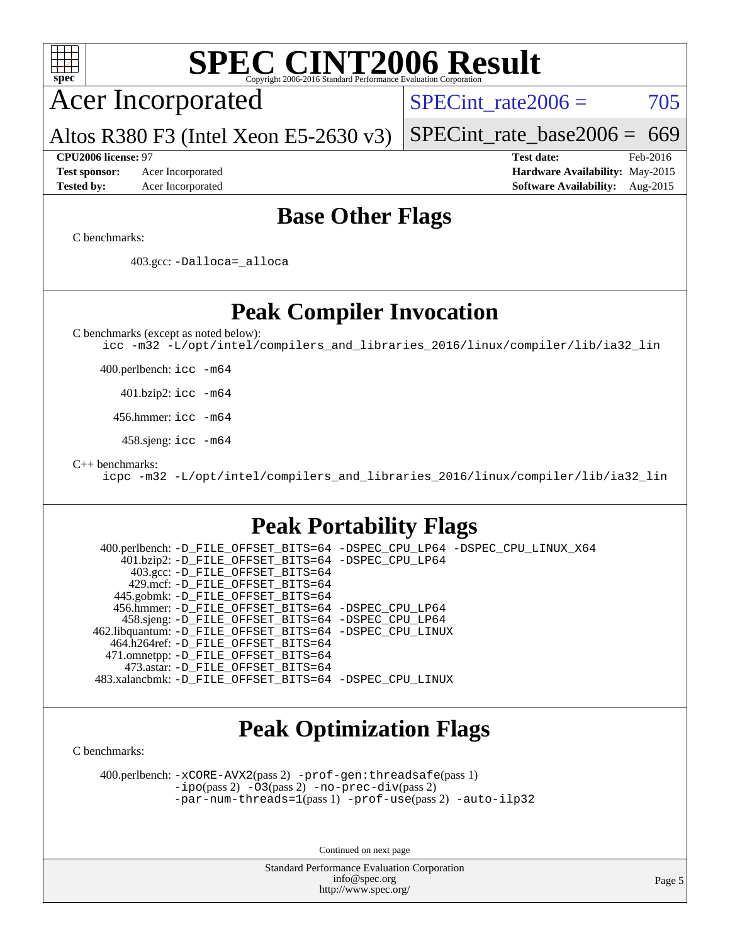

 400.perlbench: [-xCORE-AVX2](http://www.spec.org/cpu2006/results/res2016q1/cpu2006-20160216-39025.flags.html#user_peakPASS2_CFLAGSPASS2_LDCFLAGS400_perlbench_f-xAVX2_5f5fc0cbe2c9f62c816d3e45806c70d7)(pass 2) [-prof-gen:threadsafe](http://www.spec.org/cpu2006/results/res2016q1/cpu2006-20160216-39025.flags.html#user_peakPASS1_CFLAGSPASS1_LDCFLAGS400_perlbench_prof_gen_21a26eb79f378b550acd7bec9fe4467a)(pass 1) [-ipo](http://www.spec.org/cpu2006/results/res2016q1/cpu2006-20160216-39025.flags.html#user_peakPASS2_CFLAGSPASS2_LDCFLAGS400_perlbench_f-ipo)(pass 2) [-O3](http://www.spec.org/cpu2006/results/res2016q1/cpu2006-20160216-39025.flags.html#user_peakPASS2_CFLAGSPASS2_LDCFLAGS400_perlbench_f-O3)(pass 2) [-no-prec-div](http://www.spec.org/cpu2006/results/res2016q1/cpu2006-20160216-39025.flags.html#user_peakPASS2_CFLAGSPASS2_LDCFLAGS400_perlbench_f-no-prec-div)(pass 2) [-par-num-threads=1](http://www.spec.org/cpu2006/results/res2016q1/cpu2006-20160216-39025.flags.html#user_peakPASS1_CFLAGSPASS1_LDCFLAGS400_perlbench_par_num_threads_786a6ff141b4e9e90432e998842df6c2)(pass 1) [-prof-use](http://www.spec.org/cpu2006/results/res2016q1/cpu2006-20160216-39025.flags.html#user_peakPASS2_CFLAGSPASS2_LDCFLAGS400_perlbench_prof_use_bccf7792157ff70d64e32fe3e1250b55)(pass 2) [-auto-ilp32](http://www.spec.org/cpu2006/results/res2016q1/cpu2006-20160216-39025.flags.html#user_peakCOPTIMIZE400_perlbench_f-auto-ilp32)

Continued on next page

Standard Performance Evaluation Corporation [info@spec.org](mailto:info@spec.org) <http://www.spec.org/>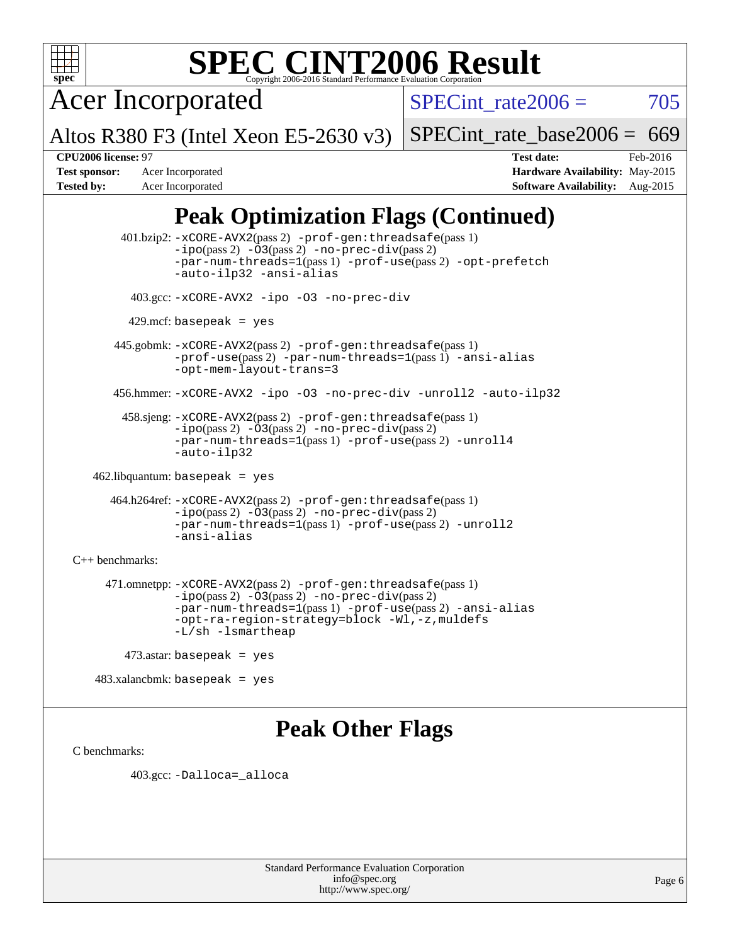

Acer Incorporated

Altos R380 F3 (Intel Xeon E5-2630 v3)

SPECint rate $2006 = 705$ 

[SPECint\\_rate\\_base2006 =](http://www.spec.org/auto/cpu2006/Docs/result-fields.html#SPECintratebase2006)  $669$ 

**[CPU2006 license:](http://www.spec.org/auto/cpu2006/Docs/result-fields.html#CPU2006license)** 97 **[Test date:](http://www.spec.org/auto/cpu2006/Docs/result-fields.html#Testdate)** Feb-2016 **[Test sponsor:](http://www.spec.org/auto/cpu2006/Docs/result-fields.html#Testsponsor)** Acer Incorporated **[Hardware Availability:](http://www.spec.org/auto/cpu2006/Docs/result-fields.html#HardwareAvailability)** May-2015 **[Tested by:](http://www.spec.org/auto/cpu2006/Docs/result-fields.html#Testedby)** Acer Incorporated **[Software Availability:](http://www.spec.org/auto/cpu2006/Docs/result-fields.html#SoftwareAvailability)** Aug-2015

## **[Peak Optimization Flags \(Continued\)](http://www.spec.org/auto/cpu2006/Docs/result-fields.html#PeakOptimizationFlags)**

 401.bzip2: [-xCORE-AVX2](http://www.spec.org/cpu2006/results/res2016q1/cpu2006-20160216-39025.flags.html#user_peakPASS2_CFLAGSPASS2_LDCFLAGS401_bzip2_f-xAVX2_5f5fc0cbe2c9f62c816d3e45806c70d7)(pass 2) [-prof-gen:threadsafe](http://www.spec.org/cpu2006/results/res2016q1/cpu2006-20160216-39025.flags.html#user_peakPASS1_CFLAGSPASS1_LDCFLAGS401_bzip2_prof_gen_21a26eb79f378b550acd7bec9fe4467a)(pass 1)  $-i\text{po}(pass 2) -03(pass 2) -no-prec-div(pass 2)$  $-i\text{po}(pass 2) -03(pass 2) -no-prec-div(pass 2)$  $-i\text{po}(pass 2) -03(pass 2) -no-prec-div(pass 2)$ [-par-num-threads=1](http://www.spec.org/cpu2006/results/res2016q1/cpu2006-20160216-39025.flags.html#user_peakPASS1_CFLAGSPASS1_LDCFLAGS401_bzip2_par_num_threads_786a6ff141b4e9e90432e998842df6c2)(pass 1) [-prof-use](http://www.spec.org/cpu2006/results/res2016q1/cpu2006-20160216-39025.flags.html#user_peakPASS2_CFLAGSPASS2_LDCFLAGS401_bzip2_prof_use_bccf7792157ff70d64e32fe3e1250b55)(pass 2) [-opt-prefetch](http://www.spec.org/cpu2006/results/res2016q1/cpu2006-20160216-39025.flags.html#user_peakCOPTIMIZE401_bzip2_f-opt-prefetch) [-auto-ilp32](http://www.spec.org/cpu2006/results/res2016q1/cpu2006-20160216-39025.flags.html#user_peakCOPTIMIZE401_bzip2_f-auto-ilp32) [-ansi-alias](http://www.spec.org/cpu2006/results/res2016q1/cpu2006-20160216-39025.flags.html#user_peakCOPTIMIZE401_bzip2_f-ansi-alias) 403.gcc: [-xCORE-AVX2](http://www.spec.org/cpu2006/results/res2016q1/cpu2006-20160216-39025.flags.html#user_peakCOPTIMIZE403_gcc_f-xAVX2_5f5fc0cbe2c9f62c816d3e45806c70d7) [-ipo](http://www.spec.org/cpu2006/results/res2016q1/cpu2006-20160216-39025.flags.html#user_peakCOPTIMIZE403_gcc_f-ipo) [-O3](http://www.spec.org/cpu2006/results/res2016q1/cpu2006-20160216-39025.flags.html#user_peakCOPTIMIZE403_gcc_f-O3) [-no-prec-div](http://www.spec.org/cpu2006/results/res2016q1/cpu2006-20160216-39025.flags.html#user_peakCOPTIMIZE403_gcc_f-no-prec-div)  $429$ .mcf: basepeak = yes 445.gobmk: [-xCORE-AVX2](http://www.spec.org/cpu2006/results/res2016q1/cpu2006-20160216-39025.flags.html#user_peakPASS2_CFLAGSPASS2_LDCFLAGS445_gobmk_f-xAVX2_5f5fc0cbe2c9f62c816d3e45806c70d7)(pass 2) [-prof-gen:threadsafe](http://www.spec.org/cpu2006/results/res2016q1/cpu2006-20160216-39025.flags.html#user_peakPASS1_CFLAGSPASS1_LDCFLAGS445_gobmk_prof_gen_21a26eb79f378b550acd7bec9fe4467a)(pass 1) [-prof-use](http://www.spec.org/cpu2006/results/res2016q1/cpu2006-20160216-39025.flags.html#user_peakPASS2_CFLAGSPASS2_LDCFLAGS445_gobmk_prof_use_bccf7792157ff70d64e32fe3e1250b55)(pass 2) [-par-num-threads=1](http://www.spec.org/cpu2006/results/res2016q1/cpu2006-20160216-39025.flags.html#user_peakPASS1_CFLAGSPASS1_LDCFLAGS445_gobmk_par_num_threads_786a6ff141b4e9e90432e998842df6c2)(pass 1) [-ansi-alias](http://www.spec.org/cpu2006/results/res2016q1/cpu2006-20160216-39025.flags.html#user_peakCOPTIMIZE445_gobmk_f-ansi-alias) [-opt-mem-layout-trans=3](http://www.spec.org/cpu2006/results/res2016q1/cpu2006-20160216-39025.flags.html#user_peakCOPTIMIZE445_gobmk_f-opt-mem-layout-trans_a7b82ad4bd7abf52556d4961a2ae94d5) 456.hmmer: [-xCORE-AVX2](http://www.spec.org/cpu2006/results/res2016q1/cpu2006-20160216-39025.flags.html#user_peakCOPTIMIZE456_hmmer_f-xAVX2_5f5fc0cbe2c9f62c816d3e45806c70d7) [-ipo](http://www.spec.org/cpu2006/results/res2016q1/cpu2006-20160216-39025.flags.html#user_peakCOPTIMIZE456_hmmer_f-ipo) [-O3](http://www.spec.org/cpu2006/results/res2016q1/cpu2006-20160216-39025.flags.html#user_peakCOPTIMIZE456_hmmer_f-O3) [-no-prec-div](http://www.spec.org/cpu2006/results/res2016q1/cpu2006-20160216-39025.flags.html#user_peakCOPTIMIZE456_hmmer_f-no-prec-div) [-unroll2](http://www.spec.org/cpu2006/results/res2016q1/cpu2006-20160216-39025.flags.html#user_peakCOPTIMIZE456_hmmer_f-unroll_784dae83bebfb236979b41d2422d7ec2) [-auto-ilp32](http://www.spec.org/cpu2006/results/res2016q1/cpu2006-20160216-39025.flags.html#user_peakCOPTIMIZE456_hmmer_f-auto-ilp32) 458.sjeng: [-xCORE-AVX2](http://www.spec.org/cpu2006/results/res2016q1/cpu2006-20160216-39025.flags.html#user_peakPASS2_CFLAGSPASS2_LDCFLAGS458_sjeng_f-xAVX2_5f5fc0cbe2c9f62c816d3e45806c70d7)(pass 2) [-prof-gen:threadsafe](http://www.spec.org/cpu2006/results/res2016q1/cpu2006-20160216-39025.flags.html#user_peakPASS1_CFLAGSPASS1_LDCFLAGS458_sjeng_prof_gen_21a26eb79f378b550acd7bec9fe4467a)(pass 1) [-ipo](http://www.spec.org/cpu2006/results/res2016q1/cpu2006-20160216-39025.flags.html#user_peakPASS2_CFLAGSPASS2_LDCFLAGS458_sjeng_f-ipo)(pass 2) [-O3](http://www.spec.org/cpu2006/results/res2016q1/cpu2006-20160216-39025.flags.html#user_peakPASS2_CFLAGSPASS2_LDCFLAGS458_sjeng_f-O3)(pass 2) [-no-prec-div](http://www.spec.org/cpu2006/results/res2016q1/cpu2006-20160216-39025.flags.html#user_peakPASS2_CFLAGSPASS2_LDCFLAGS458_sjeng_f-no-prec-div)(pass 2) [-par-num-threads=1](http://www.spec.org/cpu2006/results/res2016q1/cpu2006-20160216-39025.flags.html#user_peakPASS1_CFLAGSPASS1_LDCFLAGS458_sjeng_par_num_threads_786a6ff141b4e9e90432e998842df6c2)(pass 1) [-prof-use](http://www.spec.org/cpu2006/results/res2016q1/cpu2006-20160216-39025.flags.html#user_peakPASS2_CFLAGSPASS2_LDCFLAGS458_sjeng_prof_use_bccf7792157ff70d64e32fe3e1250b55)(pass 2) [-unroll4](http://www.spec.org/cpu2006/results/res2016q1/cpu2006-20160216-39025.flags.html#user_peakCOPTIMIZE458_sjeng_f-unroll_4e5e4ed65b7fd20bdcd365bec371b81f) [-auto-ilp32](http://www.spec.org/cpu2006/results/res2016q1/cpu2006-20160216-39025.flags.html#user_peakCOPTIMIZE458_sjeng_f-auto-ilp32) 462.libquantum: basepeak = yes 464.h264ref: [-xCORE-AVX2](http://www.spec.org/cpu2006/results/res2016q1/cpu2006-20160216-39025.flags.html#user_peakPASS2_CFLAGSPASS2_LDCFLAGS464_h264ref_f-xAVX2_5f5fc0cbe2c9f62c816d3e45806c70d7)(pass 2) [-prof-gen:threadsafe](http://www.spec.org/cpu2006/results/res2016q1/cpu2006-20160216-39025.flags.html#user_peakPASS1_CFLAGSPASS1_LDCFLAGS464_h264ref_prof_gen_21a26eb79f378b550acd7bec9fe4467a)(pass 1) [-ipo](http://www.spec.org/cpu2006/results/res2016q1/cpu2006-20160216-39025.flags.html#user_peakPASS2_CFLAGSPASS2_LDCFLAGS464_h264ref_f-ipo)(pass 2) [-O3](http://www.spec.org/cpu2006/results/res2016q1/cpu2006-20160216-39025.flags.html#user_peakPASS2_CFLAGSPASS2_LDCFLAGS464_h264ref_f-O3)(pass 2) [-no-prec-div](http://www.spec.org/cpu2006/results/res2016q1/cpu2006-20160216-39025.flags.html#user_peakPASS2_CFLAGSPASS2_LDCFLAGS464_h264ref_f-no-prec-div)(pass 2) [-par-num-threads=1](http://www.spec.org/cpu2006/results/res2016q1/cpu2006-20160216-39025.flags.html#user_peakPASS1_CFLAGSPASS1_LDCFLAGS464_h264ref_par_num_threads_786a6ff141b4e9e90432e998842df6c2)(pass 1) [-prof-use](http://www.spec.org/cpu2006/results/res2016q1/cpu2006-20160216-39025.flags.html#user_peakPASS2_CFLAGSPASS2_LDCFLAGS464_h264ref_prof_use_bccf7792157ff70d64e32fe3e1250b55)(pass 2) [-unroll2](http://www.spec.org/cpu2006/results/res2016q1/cpu2006-20160216-39025.flags.html#user_peakCOPTIMIZE464_h264ref_f-unroll_784dae83bebfb236979b41d2422d7ec2) [-ansi-alias](http://www.spec.org/cpu2006/results/res2016q1/cpu2006-20160216-39025.flags.html#user_peakCOPTIMIZE464_h264ref_f-ansi-alias) [C++ benchmarks:](http://www.spec.org/auto/cpu2006/Docs/result-fields.html#CXXbenchmarks) 471.omnetpp: [-xCORE-AVX2](http://www.spec.org/cpu2006/results/res2016q1/cpu2006-20160216-39025.flags.html#user_peakPASS2_CXXFLAGSPASS2_LDCXXFLAGS471_omnetpp_f-xAVX2_5f5fc0cbe2c9f62c816d3e45806c70d7)(pass 2) [-prof-gen:threadsafe](http://www.spec.org/cpu2006/results/res2016q1/cpu2006-20160216-39025.flags.html#user_peakPASS1_CXXFLAGSPASS1_LDCXXFLAGS471_omnetpp_prof_gen_21a26eb79f378b550acd7bec9fe4467a)(pass 1)  $-ipo(pass 2) -\overline{03(pass 2)}$  $-ipo(pass 2) -\overline{03(pass 2)}$  [-no-prec-div](http://www.spec.org/cpu2006/results/res2016q1/cpu2006-20160216-39025.flags.html#user_peakPASS2_CXXFLAGSPASS2_LDCXXFLAGS471_omnetpp_f-no-prec-div)(pass 2) [-par-num-threads=1](http://www.spec.org/cpu2006/results/res2016q1/cpu2006-20160216-39025.flags.html#user_peakPASS1_CXXFLAGSPASS1_LDCXXFLAGS471_omnetpp_par_num_threads_786a6ff141b4e9e90432e998842df6c2)(pass 1) [-prof-use](http://www.spec.org/cpu2006/results/res2016q1/cpu2006-20160216-39025.flags.html#user_peakPASS2_CXXFLAGSPASS2_LDCXXFLAGS471_omnetpp_prof_use_bccf7792157ff70d64e32fe3e1250b55)(pass 2) [-ansi-alias](http://www.spec.org/cpu2006/results/res2016q1/cpu2006-20160216-39025.flags.html#user_peakCXXOPTIMIZE471_omnetpp_f-ansi-alias) [-opt-ra-region-strategy=block](http://www.spec.org/cpu2006/results/res2016q1/cpu2006-20160216-39025.flags.html#user_peakCXXOPTIMIZE471_omnetpp_f-opt-ra-region-strategy_a0a37c372d03933b2a18d4af463c1f69) [-Wl,-z,muldefs](http://www.spec.org/cpu2006/results/res2016q1/cpu2006-20160216-39025.flags.html#user_peakEXTRA_LDFLAGS471_omnetpp_link_force_multiple1_74079c344b956b9658436fd1b6dd3a8a) [-L/sh -lsmartheap](http://www.spec.org/cpu2006/results/res2016q1/cpu2006-20160216-39025.flags.html#user_peakEXTRA_LIBS471_omnetpp_SmartHeap_32f6c82aa1ed9c52345d30cf6e4a0499) 473.astar: basepeak = yes

483.xalancbmk: basepeak = yes

### **[Peak Other Flags](http://www.spec.org/auto/cpu2006/Docs/result-fields.html#PeakOtherFlags)**

[C benchmarks](http://www.spec.org/auto/cpu2006/Docs/result-fields.html#Cbenchmarks):

403.gcc: [-Dalloca=\\_alloca](http://www.spec.org/cpu2006/results/res2016q1/cpu2006-20160216-39025.flags.html#b403.gcc_peakEXTRA_CFLAGS_Dalloca_be3056838c12de2578596ca5467af7f3)